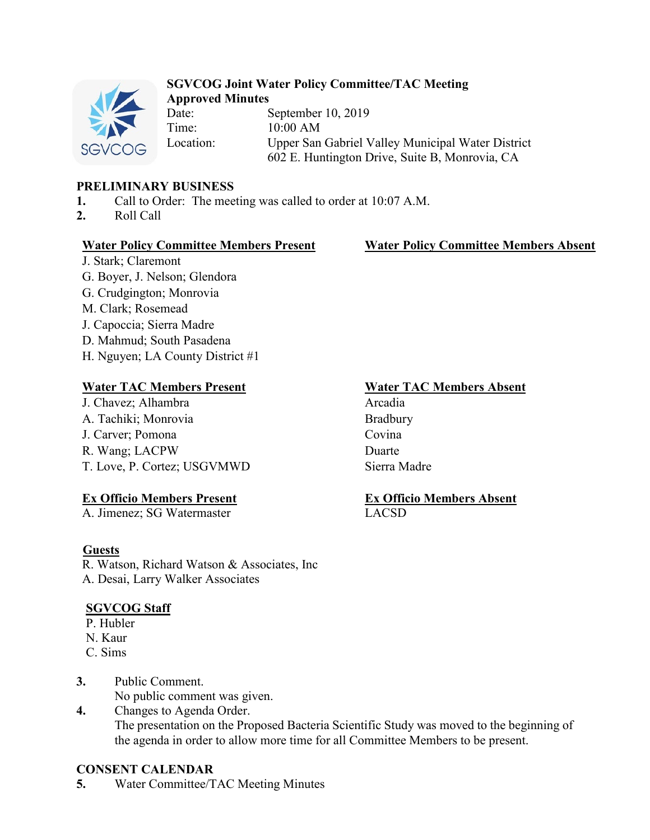

### **SGVCOG Joint Water Policy Committee/TAC Meeting Approved Minutes**

Date: September 10, 2019 Time: 10:00 AM Location: Upper San Gabriel Valley Municipal Water District 602 E. Huntington Drive, Suite B, Monrovia, CA

# **PRELIMINARY BUSINESS**

- **1.** Call to Order: The meeting was called to order at 10:07 A.M.
- **2.** Roll Call

## **Water Policy Committee Members Present Water Policy Committee Members Absent**

J. Stark; Claremont G. Boyer, J. Nelson; Glendora G. Crudgington; Monrovia M. Clark; Rosemead J. Capoccia; Sierra Madre D. Mahmud; South Pasadena H. Nguyen; LA County District #1

# **Water TAC Members Present Water TAC Members Absent**

J. Chavez; Alhambra Arcadia A. Tachiki; Monrovia Bradbury J. Carver; Pomona Covina R. Wang; LACPW Duarte T. Love, P. Cortez; USGVMWD Sierra Madre

# **Ex Officio Members Present**

A. Jimenez; SG Watermaster

## **Guests**

R. Watson, Richard Watson & Associates, Inc A. Desai, Larry Walker Associates

## **SGVCOG Staff**

- P. Hubler
- N. Kaur
- C. Sims
- **3.** Public Comment. No public comment was given.
- **4.** Changes to Agenda Order. The presentation on the Proposed Bacteria Scientific Study was moved to the beginning of the agenda in order to allow more time for all Committee Members to be present.

## **CONSENT CALENDAR**

**5.** Water Committee/TAC Meeting Minutes

**Ex Officio Members Absent** LACSD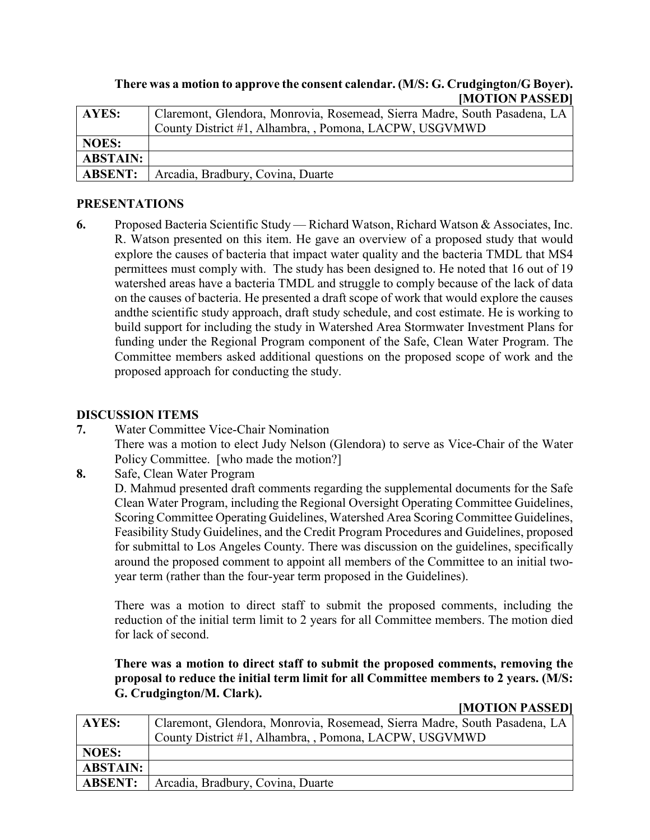### **There was a motion to approve the consent calendar. (M/S: G. Crudgington/G Boyer). [MOTION PASSED]**

| AYES:           | Claremont, Glendora, Monrovia, Rosemead, Sierra Madre, South Pasadena, LA |
|-----------------|---------------------------------------------------------------------------|
|                 | County District #1, Alhambra, , Pomona, LACPW, USGVMWD                    |
| <b>NOES:</b>    |                                                                           |
| <b>ABSTAIN:</b> |                                                                           |
| <b>ABSENT:</b>  | Arcadia, Bradbury, Covina, Duarte                                         |

### **PRESENTATIONS**

**6.** Proposed Bacteria Scientific Study — Richard Watson, Richard Watson & Associates, Inc. R. Watson presented on this item. He gave an overview of a proposed study that would explore the causes of bacteria that impact water quality and the bacteria TMDL that MS4 permittees must comply with. The study has been designed to. He noted that 16 out of 19 watershed areas have a bacteria TMDL and struggle to comply because of the lack of data on the causes of bacteria. He presented a draft scope of work that would explore the causes andthe scientific study approach, draft study schedule, and cost estimate. He is working to build support for including the study in Watershed Area Stormwater Investment Plans for funding under the Regional Program component of the Safe, Clean Water Program. The Committee members asked additional questions on the proposed scope of work and the proposed approach for conducting the study.

### **DISCUSSION ITEMS**

**7.** Water Committee Vice-Chair Nomination

There was a motion to elect Judy Nelson (Glendora) to serve as Vice-Chair of the Water Policy Committee. [who made the motion?]

**8.** Safe, Clean Water Program

D. Mahmud presented draft comments regarding the supplemental documents for the Safe Clean Water Program, including the Regional Oversight Operating Committee Guidelines, Scoring Committee Operating Guidelines, Watershed Area Scoring Committee Guidelines, Feasibility Study Guidelines, and the Credit Program Procedures and Guidelines, proposed for submittal to Los Angeles County. There was discussion on the guidelines, specifically around the proposed comment to appoint all members of the Committee to an initial twoyear term (rather than the four-year term proposed in the Guidelines).

There was a motion to direct staff to submit the proposed comments, including the reduction of the initial term limit to 2 years for all Committee members. The motion died for lack of second.

**There was a motion to direct staff to submit the proposed comments, removing the proposal to reduce the initial term limit for all Committee members to 2 years. (M/S: G. Crudgington/M. Clark).**

**[MOTION PASSED]**

| <b>AYES:</b>    | Claremont, Glendora, Monrovia, Rosemead, Sierra Madre, South Pasadena, LA |
|-----------------|---------------------------------------------------------------------------|
|                 | County District #1, Alhambra, , Pomona, LACPW, USGVMWD                    |
| <b>NOES:</b>    |                                                                           |
| <b>ABSTAIN:</b> |                                                                           |
| <b>ABSENT:</b>  | Arcadia, Bradbury, Covina, Duarte                                         |